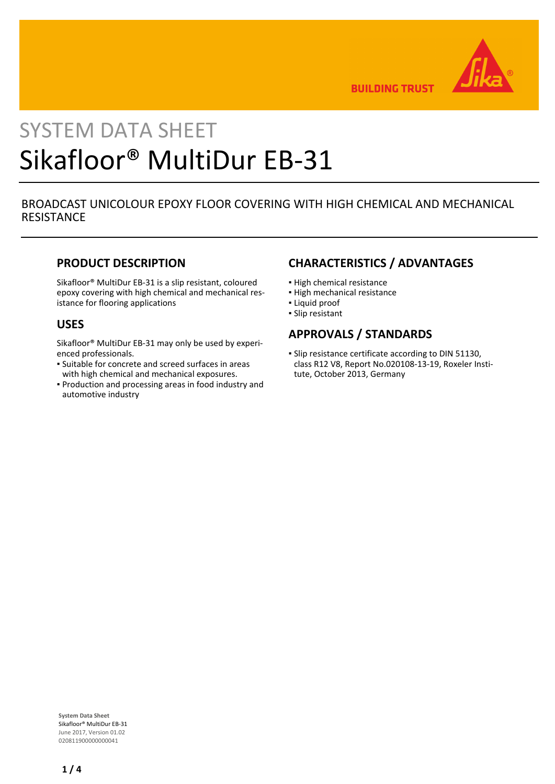

**BUILDING TRUST** 

# SYSTEM DATA SHEET Sikafloor® MultiDur EB-31

## BROADCAST UNICOLOUR EPOXY FLOOR COVERING WITH HIGH CHEMICAL AND MECHANICAL **RESISTANCE**

## **PRODUCT DESCRIPTION**

Sikafloor® MultiDur EB-31 is a slip resistant, coloured epoxy covering with high chemical and mechanical resistance for flooring applications

## **USES**

Sikafloor® MultiDur EB-31 may only be used by experienced professionals.

- **Example 5 Is also Serion Engino** . Suitable for concrete and screet surfaces in areas with high chemical and mechanical exposures.
- **Production and processing areas in food industry and** automotive industry

## **CHARACTERISTICS / ADVANTAGES**

- **.** High chemical resistance
- High mechanical resistance
- Liquid proof
- Slip resistant

## **APPROVALS / STANDARDS**

**.** Slip resistance certificate according to DIN 51130, class R12 V8, Report No.020108-13-19, Roxeler Institute, October 2013, Germany

**System Data Sheet** Sikafloor® MultiDur EB-31 June 2017, Version 01.02 020811900000000041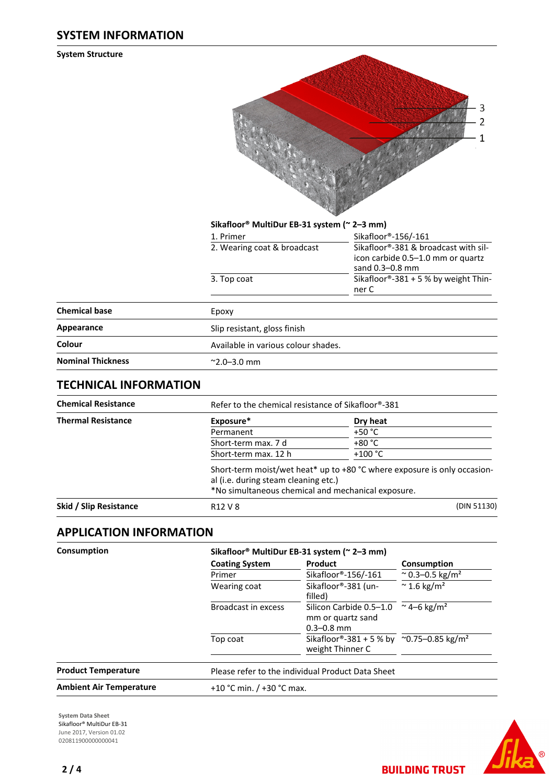## **SYSTEM INFORMATION**

**System Structure**



#### **Sikafloor® MultiDur EB-31 system (~ 2–3 mm)**

| 1. Primer                           | Sikafloor®-156/-161                                                                          |  |  |
|-------------------------------------|----------------------------------------------------------------------------------------------|--|--|
| 2. Wearing coat & broadcast         | Sikafloor®-381 & broadcast with sil-<br>icon carbide 0.5–1.0 mm or quartz<br>sand 0.3-0.8 mm |  |  |
| 3. Top coat                         | Sikafloor®-381 + 5 % by weight Thin-<br>ner C                                                |  |  |
| Epoxy                               |                                                                                              |  |  |
| المامنيينة ممماس المسملون ممتاح الا |                                                                                              |  |  |

| <b>Chemical base</b>     | Epoxy                               |
|--------------------------|-------------------------------------|
| Appearance               | Slip resistant, gloss finish        |
| Colour                   | Available in various colour shades. |
| <b>Nominal Thickness</b> | $^{\sim}$ 2.0–3.0 mm                |

## **TECHNICAL INFORMATION**

| <b>Chemical Resistance</b> | Refer to the chemical resistance of Sikafloor®-381                                         |                                                                            |  |  |
|----------------------------|--------------------------------------------------------------------------------------------|----------------------------------------------------------------------------|--|--|
| <b>Thermal Resistance</b>  | Exposure*                                                                                  | Dry heat                                                                   |  |  |
|                            | Permanent                                                                                  | +50 °C                                                                     |  |  |
|                            | Short-term max. 7 d                                                                        | $+80 °C$                                                                   |  |  |
|                            | Short-term max. 12 h                                                                       | $+100 °C$                                                                  |  |  |
|                            | al (i.e. during steam cleaning etc.)<br>*No simultaneous chemical and mechanical exposure. | Short-term moist/wet heat* up to $+80$ °C where exposure is only occasion- |  |  |
| Skid / Slip Resistance     | R <sub>12</sub> V 8                                                                        | (DIN 51130)                                                                |  |  |

## **APPLICATION INFORMATION**

| Consumption                    | Sikafloor <sup>®</sup> MultiDur EB-31 system (~ 2–3 mm) |                                                                          |                                                                         |  |  |
|--------------------------------|---------------------------------------------------------|--------------------------------------------------------------------------|-------------------------------------------------------------------------|--|--|
|                                | <b>Coating System</b>                                   | Product                                                                  | Consumption                                                             |  |  |
|                                | Primer<br>Wearing coat                                  | Sikafloor®-156/-161                                                      | $^{\circ}$ 0.3–0.5 kg/m <sup>2</sup><br>$\approx$ 1.6 kg/m <sup>2</sup> |  |  |
|                                |                                                         | Sikafloor®-381 (un-<br>filled)                                           |                                                                         |  |  |
|                                | Broadcast in excess                                     | Silicon Carbide 0.5-1.0<br>mm or quartz sand<br>$0.3 - 0.8$ mm           | ~4–6 kg/m <sup>2</sup>                                                  |  |  |
|                                | Top coat                                                | Sikafloor®-381 + 5 % by ~0.75-0.85 kg/m <sup>2</sup><br>weight Thinner C |                                                                         |  |  |
| <b>Product Temperature</b>     |                                                         | Please refer to the individual Product Data Sheet                        |                                                                         |  |  |
| <b>Ambient Air Temperature</b> |                                                         | +10 °C min. $/$ +30 °C max.                                              |                                                                         |  |  |
|                                |                                                         |                                                                          |                                                                         |  |  |

**System Data Sheet** Sikafloor® MultiDur EB-31 June 2017, Version 01.02 020811900000000041



**BUILDING TRUST**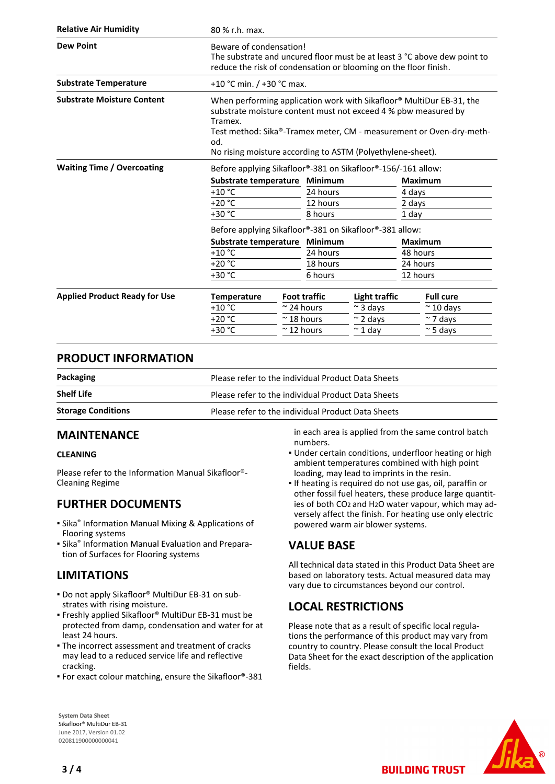| <b>Relative Air Humidity</b>         | 80 % r.h. max.                                                                                                                                                                                                                                                                                |  |                     |                  |                |                   |  |
|--------------------------------------|-----------------------------------------------------------------------------------------------------------------------------------------------------------------------------------------------------------------------------------------------------------------------------------------------|--|---------------------|------------------|----------------|-------------------|--|
| <b>Dew Point</b>                     | Beware of condensation!<br>The substrate and uncured floor must be at least 3 °C above dew point to<br>reduce the risk of condensation or blooming on the floor finish.                                                                                                                       |  |                     |                  |                |                   |  |
| <b>Substrate Temperature</b>         | +10 °C min. / +30 °C max.                                                                                                                                                                                                                                                                     |  |                     |                  |                |                   |  |
| <b>Substrate Moisture Content</b>    | When performing application work with Sikafloor® MultiDur EB-31, the<br>substrate moisture content must not exceed 4 % pbw measured by<br>Tramex.<br>Test method: Sika®-Tramex meter, CM - measurement or Oven-dry-meth-<br>od.<br>No rising moisture according to ASTM (Polyethylene-sheet). |  |                     |                  |                |                   |  |
| <b>Waiting Time / Overcoating</b>    | Before applying Sikafloor®-381 on Sikafloor®-156/-161 allow:                                                                                                                                                                                                                                  |  |                     |                  |                |                   |  |
|                                      | Substrate temperature Minimum                                                                                                                                                                                                                                                                 |  |                     |                  | <b>Maximum</b> |                   |  |
|                                      | $+10 °C$                                                                                                                                                                                                                                                                                      |  | 24 hours            |                  | 4 days         |                   |  |
|                                      | $+20 °C$                                                                                                                                                                                                                                                                                      |  | 12 hours            |                  | 2 days         |                   |  |
|                                      | +30 °C                                                                                                                                                                                                                                                                                        |  | 8 hours             |                  | 1 day          |                   |  |
|                                      | Before applying Sikafloor®-381 on Sikafloor®-381 allow:                                                                                                                                                                                                                                       |  |                     |                  |                |                   |  |
|                                      | Substrate temperature Minimum                                                                                                                                                                                                                                                                 |  |                     |                  |                | <b>Maximum</b>    |  |
|                                      | $+10$ °C                                                                                                                                                                                                                                                                                      |  | 24 hours            |                  | 48 hours       |                   |  |
|                                      | $+20 °C$                                                                                                                                                                                                                                                                                      |  | 18 hours            |                  | 24 hours       |                   |  |
|                                      | $+30 °C$                                                                                                                                                                                                                                                                                      |  | 6 hours             |                  |                | 12 hours          |  |
| <b>Applied Product Ready for Use</b> | <b>Temperature</b>                                                                                                                                                                                                                                                                            |  | <b>Foot traffic</b> | Light traffic    |                | <b>Full cure</b>  |  |
|                                      | $+10$ °C                                                                                                                                                                                                                                                                                      |  | $\approx$ 24 hours  | $\sim$ 3 days    |                | $\approx$ 10 days |  |
|                                      | $+20 °C$                                                                                                                                                                                                                                                                                      |  | $~\sim$ 18 hours    | $\approx$ 2 days |                | $\sim$ 7 days     |  |
|                                      | $+30 °C$                                                                                                                                                                                                                                                                                      |  | $\approx$ 12 hours  | $\sim$ 1 day     |                | $\approx$ 5 days  |  |

## **PRODUCT INFORMATION**

| Packaging                 | Please refer to the individual Product Data Sheets |
|---------------------------|----------------------------------------------------|
| <b>Shelf Life</b>         | Please refer to the individual Product Data Sheets |
| <b>Storage Conditions</b> | Please refer to the individual Product Data Sheets |

## **MAINTENANCE**

#### **CLEANING**

Please refer to the Information Manual Sikafloor®- Cleaning Regime

## **FURTHER DOCUMENTS**

- **Sika<sup>®</sup> Information Manual Mixing & Applications of** Flooring systems
- **E** Sika<sup>®</sup> Information Manual Evaluation and Preparation of Surfaces for Flooring systems

## **LIMITATIONS**

- Do not apply Sikafloor® MultiDur EB-31 on substrates with rising moisture.
- Freshly applied Sikafloor® MultiDur EB-31 must be protected from damp, condensation and water for at least 24 hours.
- **The incorrect assessment and treatment of cracks** may lead to a reduced service life and reflective cracking.
- For exact colour matching, ensure the Sikafloor®-381

in each area is applied from the same control batch numbers.

- Under certain conditions, underfloor heating or high ambient temperatures combined with high point loading, may lead to imprints in the resin.
- If heating is required do not use gas, oil, paraffin or other fossil fuel heaters, these produce large quantities of both CO2 and H2O water vapour, which may adversely affect the finish. For heating use only electric powered warm air blower systems.

## **VALUE BASE**

All technical data stated in this Product Data Sheet are based on laboratory tests. Actual measured data may vary due to circumstances beyond our control.

## **LOCAL RESTRICTIONS**

Please note that as a result of specific local regulations the performance of this product may vary from country to country. Please consult the local Product Data Sheet for the exact description of the application fields.

**BUILDING TRUST** 



**System Data Sheet** Sikafloor® MultiDur EB-31 June 2017, Version 01.02 020811900000000041